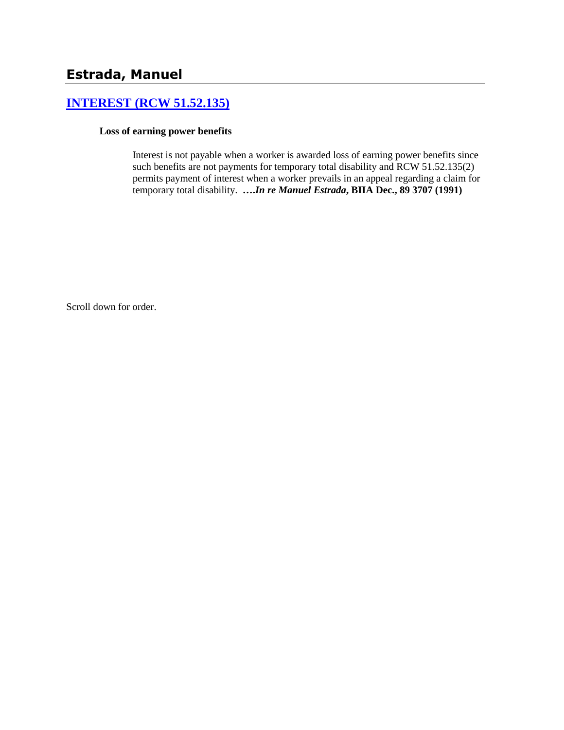# **[INTEREST \(RCW 51.52.135\)](http://www.biia.wa.gov/SDSubjectIndex.html#INTEREST)**

#### **Loss of earning power benefits**

Interest is not payable when a worker is awarded loss of earning power benefits since such benefits are not payments for temporary total disability and RCW 51.52.135(2) permits payment of interest when a worker prevails in an appeal regarding a claim for temporary total disability. **….***In re Manuel Estrada***, BIIA Dec., 89 3707 (1991)**

Scroll down for order.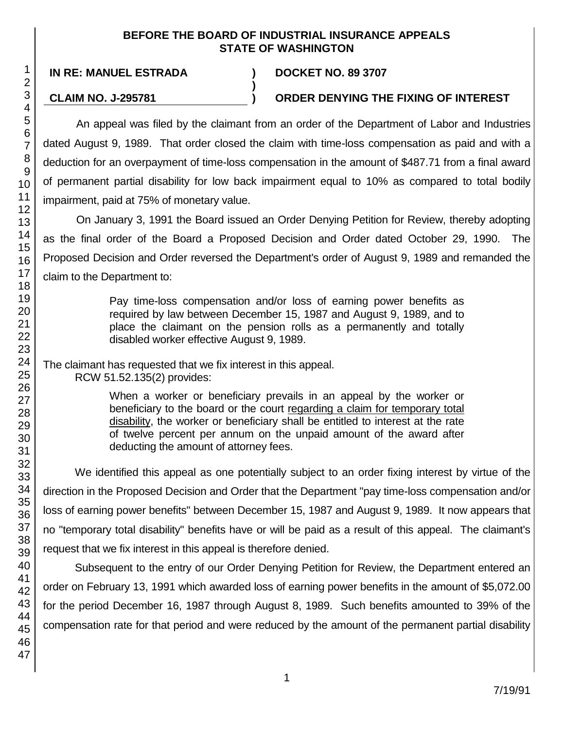### **BEFORE THE BOARD OF INDUSTRIAL INSURANCE APPEALS STATE OF WASHINGTON**

**)**

47

**IN RE: MANUEL ESTRADA ) DOCKET NO. 89 3707**

## **CLAIM NO. J-295781 ) ORDER DENYING THE FIXING OF INTEREST**

An appeal was filed by the claimant from an order of the Department of Labor and Industries dated August 9, 1989. That order closed the claim with time-loss compensation as paid and with a deduction for an overpayment of time-loss compensation in the amount of \$487.71 from a final award of permanent partial disability for low back impairment equal to 10% as compared to total bodily impairment, paid at 75% of monetary value.

On January 3, 1991 the Board issued an Order Denying Petition for Review, thereby adopting as the final order of the Board a Proposed Decision and Order dated October 29, 1990. The Proposed Decision and Order reversed the Department's order of August 9, 1989 and remanded the claim to the Department to:

> Pay time-loss compensation and/or loss of earning power benefits as required by law between December 15, 1987 and August 9, 1989, and to place the claimant on the pension rolls as a permanently and totally disabled worker effective August 9, 1989.

The claimant has requested that we fix interest in this appeal.

RCW 51.52.135(2) provides:

When a worker or beneficiary prevails in an appeal by the worker or beneficiary to the board or the court regarding a claim for temporary total disability, the worker or beneficiary shall be entitled to interest at the rate of twelve percent per annum on the unpaid amount of the award after deducting the amount of attorney fees.

We identified this appeal as one potentially subject to an order fixing interest by virtue of the direction in the Proposed Decision and Order that the Department "pay time-loss compensation and/or loss of earning power benefits" between December 15, 1987 and August 9, 1989. It now appears that no "temporary total disability" benefits have or will be paid as a result of this appeal. The claimant's request that we fix interest in this appeal is therefore denied.

Subsequent to the entry of our Order Denying Petition for Review, the Department entered an order on February 13, 1991 which awarded loss of earning power benefits in the amount of \$5,072.00 for the period December 16, 1987 through August 8, 1989. Such benefits amounted to 39% of the compensation rate for that period and were reduced by the amount of the permanent partial disability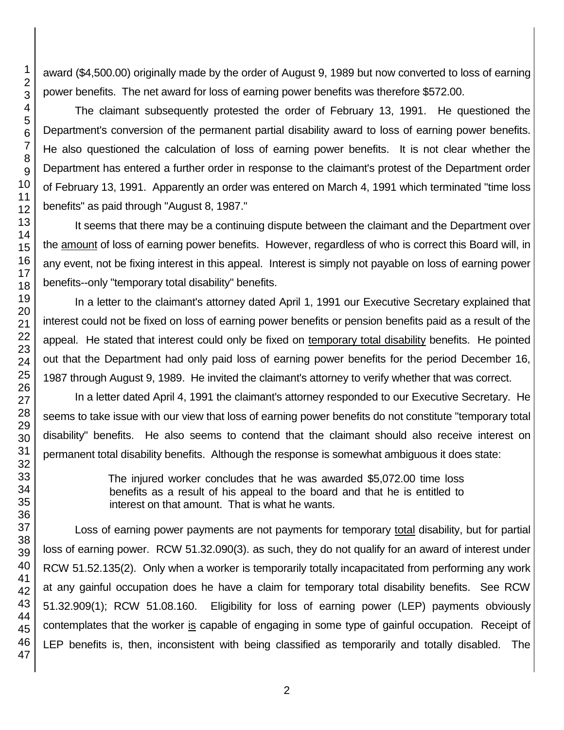award (\$4,500.00) originally made by the order of August 9, 1989 but now converted to loss of earning power benefits. The net award for loss of earning power benefits was therefore \$572.00.

The claimant subsequently protested the order of February 13, 1991. He questioned the Department's conversion of the permanent partial disability award to loss of earning power benefits. He also questioned the calculation of loss of earning power benefits. It is not clear whether the Department has entered a further order in response to the claimant's protest of the Department order of February 13, 1991. Apparently an order was entered on March 4, 1991 which terminated "time loss benefits" as paid through "August 8, 1987."

It seems that there may be a continuing dispute between the claimant and the Department over the amount of loss of earning power benefits. However, regardless of who is correct this Board will, in any event, not be fixing interest in this appeal. Interest is simply not payable on loss of earning power benefits--only "temporary total disability" benefits.

In a letter to the claimant's attorney dated April 1, 1991 our Executive Secretary explained that interest could not be fixed on loss of earning power benefits or pension benefits paid as a result of the appeal. He stated that interest could only be fixed on temporary total disability benefits. He pointed out that the Department had only paid loss of earning power benefits for the period December 16, 1987 through August 9, 1989. He invited the claimant's attorney to verify whether that was correct.

In a letter dated April 4, 1991 the claimant's attorney responded to our Executive Secretary. He seems to take issue with our view that loss of earning power benefits do not constitute "temporary total disability" benefits. He also seems to contend that the claimant should also receive interest on permanent total disability benefits. Although the response is somewhat ambiguous it does state:

> The injured worker concludes that he was awarded \$5,072.00 time loss benefits as a result of his appeal to the board and that he is entitled to interest on that amount. That is what he wants.

Loss of earning power payments are not payments for temporary total disability, but for partial loss of earning power. RCW 51.32.090(3). as such, they do not qualify for an award of interest under RCW 51.52.135(2). Only when a worker is temporarily totally incapacitated from performing any work at any gainful occupation does he have a claim for temporary total disability benefits. See RCW 51.32.909(1); RCW 51.08.160. Eligibility for loss of earning power (LEP) payments obviously contemplates that the worker is capable of engaging in some type of gainful occupation. Receipt of LEP benefits is, then, inconsistent with being classified as temporarily and totally disabled. The